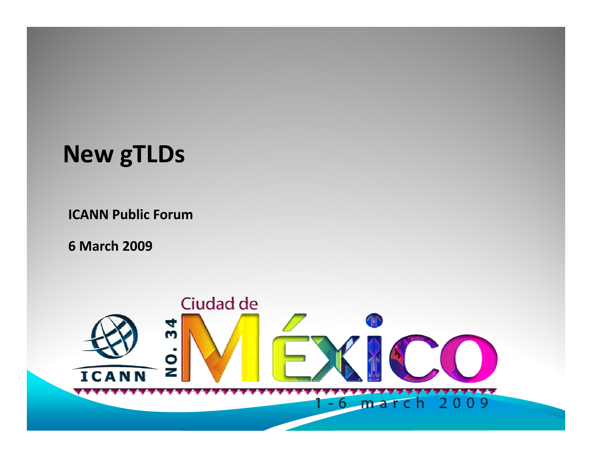#### **New gTLDs**

**ICANN Public Forum**

**6 March 2009**

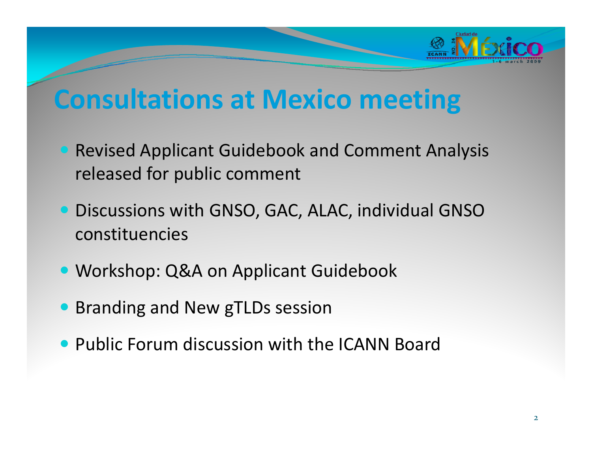

#### **Consultations at Mexico meeting**

- Revised Applicant Guidebook and Comment Analysis released for public comment
- **Discussions with GNSO, GAC, ALAC, individual GNSO** constituencies
- **Workshop: Q&A on Applicant Guidebook**
- **Branding and New gTLDs session**
- Public Forum discussion with the ICANN Board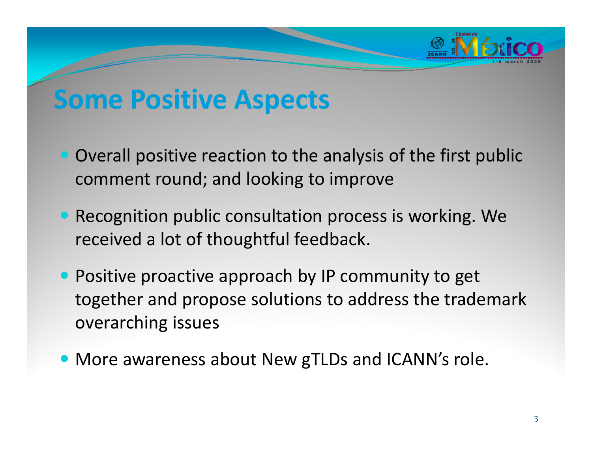

### **Some Positive Aspects**

- Overall positive reaction to the analysis of the first public comment round; and looking to improve
- Recognition public consultation process is working. We received <sup>a</sup> lot of thoughtful feedback.
- Positive proactive approach by IP community to get together and propose solutions to address the trademark overarching issues
- More awareness about New gTLDs and ICANN's role.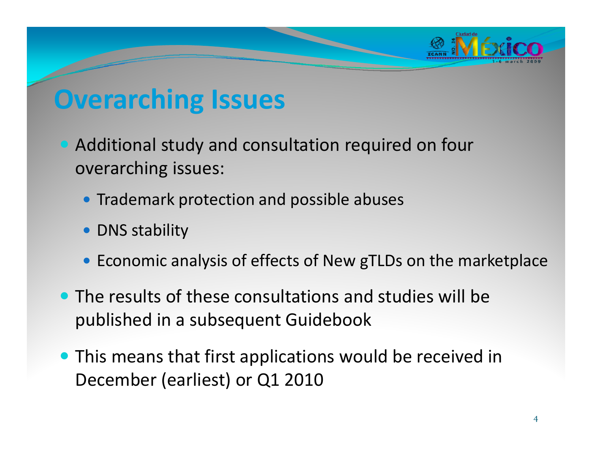

# **Overarching Issues**

- Additional study and consultation required on four overarching issues:
	- Trademark protection and possible abuses
	- DNS stability
	- Economic analysis of effects of New gTLDs on the marketplace
- The results of these consultations and studies will be published in <sup>a</sup> subsequent Guidebook
- This means that first applications would be received in December (earliest) or Q1 2010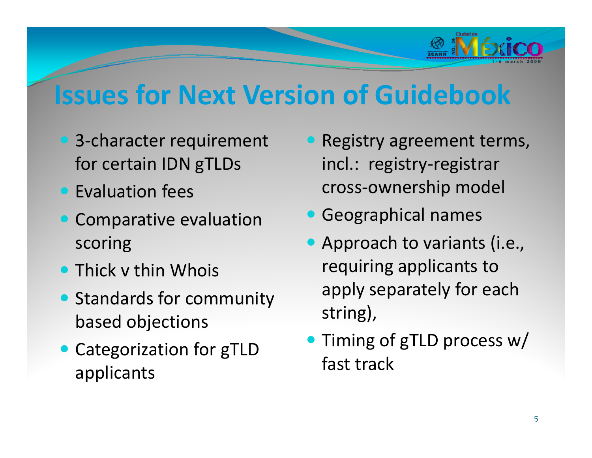

# **Issues for Next Version of Guidebook**

- 3-character requirement for certain IDN gTLDs
- Evaluation fees
- Comparative evaluation scoring
- Thick v thin Whois
- Standards for community based objections
- **Categorization for gTLD** applicants
- Registry agreement terms, incl.: registry‐registrar cross‐ownership model
- **Geographical names**
- Approach to variants (i.e., requiring applicants to apply separately for each string),
- Timing of gTLD process w/ fast track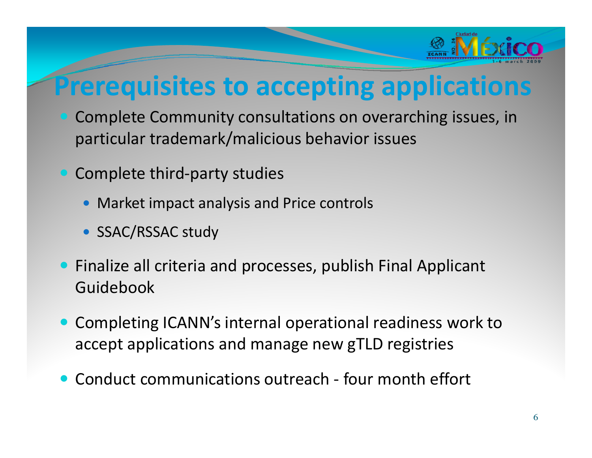

# **Prerequisites to accepting applications**

- Complete Community consultations on overarching issues, in particular trademark/malicious behavior issues
- Complete third-party studies
	- Market impact analysis and Price controls
	- SSAC/RSSAC study
- **•** Finalize all criteria and processes, publish Final Applicant Guidebook
- Completing ICANN's internal operational readiness work to accept applications and manage new gTLD registries
- Conduct communications outreach four month effort